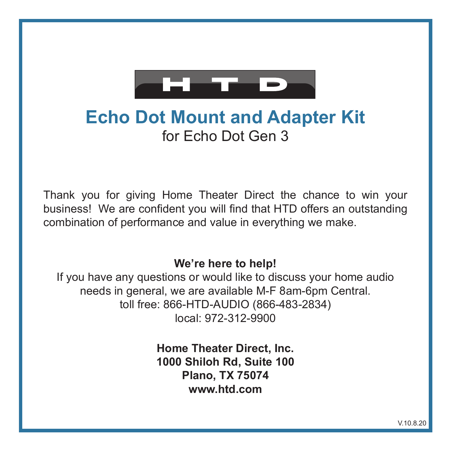

# **Echo Dot Mount and Adapter Kit** for Echo Dot Gen 3

Thank you for giving Home Theater Direct the chance to win your business! We are confident you will find that HTD offers an outstanding combination of performance and value in everything we make.

#### **We're here to help!**

If you have any questions or would like to discuss your home audio needs in general, we are available M-F 8am-6pm Central. toll free: 866-HTD-AUDIO (866-483-2834) local: 972-312-9900

> **Home Theater Direct, Inc. 1000 Shiloh Rd, Suite 100 Plano, TX 75074 www.htd.com**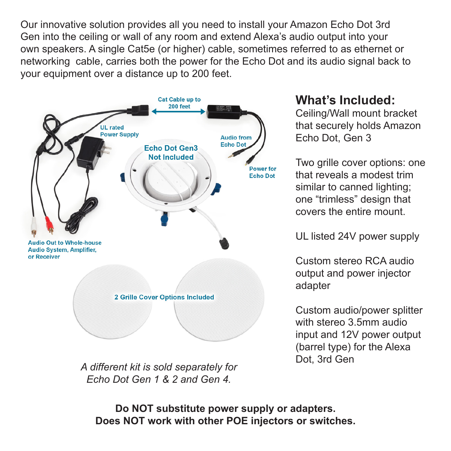Our innovative solution provides all you need to install your Amazon Echo Dot 3rd Gen into the ceiling or wall of any room and extend Alexa's audio output into your own speakers. A single Cat5e (or higher) cable, sometimes referred to as ethernet or networking cable, carries both the power for the Echo Dot and its audio signal back to your equipment over a distance up to 200 feet.



*A different kit is sold separately for Echo Dot Gen 1 & 2 and Gen 4.*

### **What's Included:**

Ceiling/Wall mount bracket that securely holds Amazon Echo Dot, Gen 3

Two grille cover options: one that reveals a modest trim similar to canned lighting; one "trimless" design that covers the entire mount.

UL listed 24V power supply

Custom stereo RCA audio output and power injector adapter

Custom audio/power splitter with stereo 3.5mm audio input and 12V power output (barrel type) for the Alexa Dot, 3rd Gen

**Do NOT substitute power supply or adapters. Does NOT work with other POE injectors or switches.**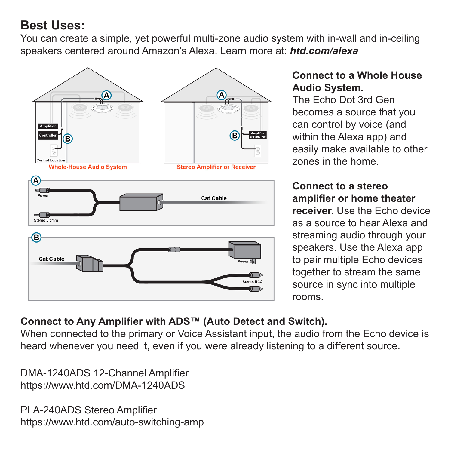## **Best Uses:**

You can create a simple, yet powerful multi-zone audio system with in-wall and in-ceiling speakers centered around Amazon's Alexa. Learn more at: *htd.com/alexa*



#### **Connect to a Whole House Audio System.**

The Echo Dot 3rd Gen becomes a source that you can control by voice (and within the Alexa app) and easily make available to other zones in the home.

#### **Connect to a stereo amplifier or home theater**

**receiver.** Use the Echo device as a source to hear Alexa and streaming audio through your speakers. Use the Alexa app to pair multiple Echo devices together to stream the same source in sync into multiple rooms.

#### **Connect to Any Amplifier with ADS™ (Auto Detect and Switch).**

When connected to the primary or Voice Assistant input, the audio from the Echo device is heard whenever you need it, even if you were already listening to a different source.

DMA-1240ADS 12-Channel Amplifier https://www.htd.com/DMA-1240ADS

PLA-240ADS Stereo Amplifier https://www.htd.com/auto-switching-amp